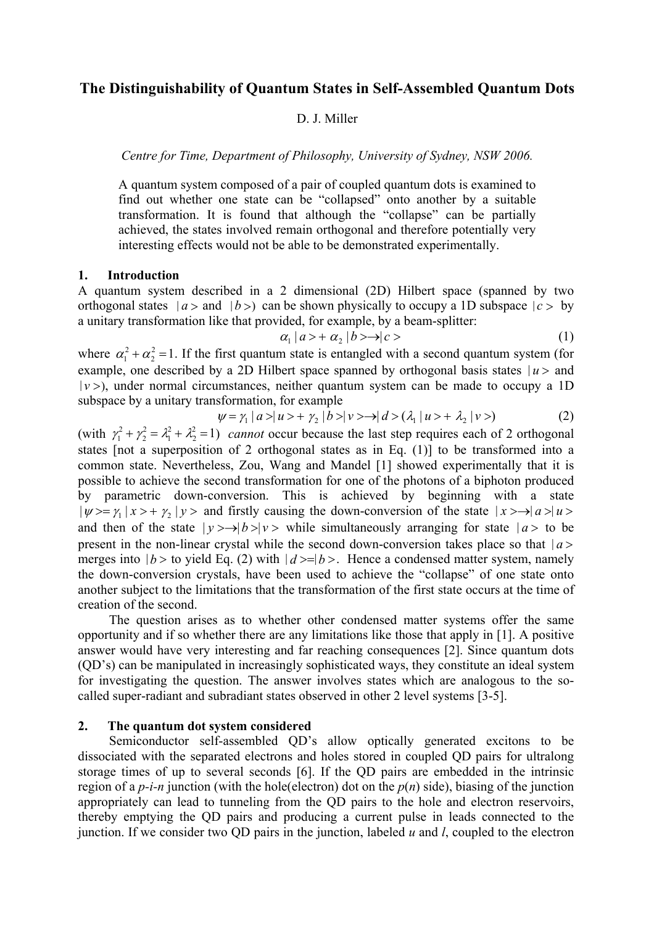# **The Distinguishability of Quantum States in Self-Assembled Quantum Dots**

## D. J. Miller

*Centre for Time, Department of Philosophy, University of Sydney, NSW 2006.* 

A quantum system composed of a pair of coupled quantum dots is examined to find out whether one state can be "collapsed" onto another by a suitable transformation. It is found that although the "collapse" can be partially achieved, the states involved remain orthogonal and therefore potentially very interesting effects would not be able to be demonstrated experimentally.

#### **1. Introduction**

A quantum system described in a 2 dimensional (2D) Hilbert space (spanned by two orthogonal states  $|a\rangle$  and  $|b\rangle$  can be shown physically to occupy a 1D subspace  $|c\rangle$  by a unitary transformation like that provided, for example, by a beam-splitter:

$$
\alpha_1 \mid a \rangle + \alpha_2 \mid b \rangle \rightarrow \mid c \rangle \tag{1}
$$

where  $\alpha_1^2 + \alpha_2^2 = 1$ . If the first quantum state is entangled with a second quantum system (for example, one described by a 2D Hilbert space spanned by orthogonal basis states  $\alpha_1^2 + \alpha_2^2 = 1$  $| u > \text{ and}$  $|v\rangle$ , under normal circumstances, neither quantum system can be made to occupy a 1D subspace by a unitary transformation, for example

$$
\psi = \gamma_1 \mid a > \mid u > + \gamma_2 \mid b > \mid v > \rightarrow \mid d > (\lambda_1 \mid u > + \lambda_2 \mid v > ) \tag{2}
$$

(with  $\gamma_1^2 + \gamma_2^2 = \lambda_1^2 + \lambda_2^2 = 1$ ) cannot occur because the last step requires each of 2 orthogonal states [not a superposition of 2 orthogonal states as in Eq. (1)] to be transformed into a common state. Nevertheless, Zou, Wang and Mandel [1] showed experimentally that it is possible to achieve the second transformation for one of the photons of a biphoton produced by parametric down-conversion. This is achieved by beginning with a state  $|\psi\rangle = \gamma_1 |x\rangle + \gamma_2 |y\rangle$  and firstly causing the down-conversion of the state  $|x\rangle \rightarrow |a\rangle |u\rangle$ and then of the state  $|y\rangle \rightarrow |b\rangle |y\rangle$  while simultaneously arranging for state  $|a\rangle$  to be present in the non-linear crystal while the second down-conversion takes place so that  $|a>$ merges into  $|b\rangle$  to yield Eq. (2) with  $|d\rangle = |b\rangle$ . Hence a condensed matter system, namely the down-conversion crystals, have been used to achieve the "collapse" of one state onto another subject to the limitations that the transformation of the first state occurs at the time of creation of the second.

The question arises as to whether other condensed matter systems offer the same opportunity and if so whether there are any limitations like those that apply in [1]. A positive answer would have very interesting and far reaching consequences [2]. Since quantum dots (QD's) can be manipulated in increasingly sophisticated ways, they constitute an ideal system for investigating the question. The answer involves states which are analogous to the socalled super-radiant and subradiant states observed in other 2 level systems [3-5].

#### **2. The quantum dot system considered**

Semiconductor self-assembled QD's allow optically generated excitons to be dissociated with the separated electrons and holes stored in coupled QD pairs for ultralong storage times of up to several seconds [6]. If the QD pairs are embedded in the intrinsic region of a  $p-i-n$  junction (with the hole(electron) dot on the  $p(n)$  side), biasing of the junction appropriately can lead to tunneling from the QD pairs to the hole and electron reservoirs, thereby emptying the QD pairs and producing a current pulse in leads connected to the junction. If we consider two QD pairs in the junction, labeled *u* and *l*, coupled to the electron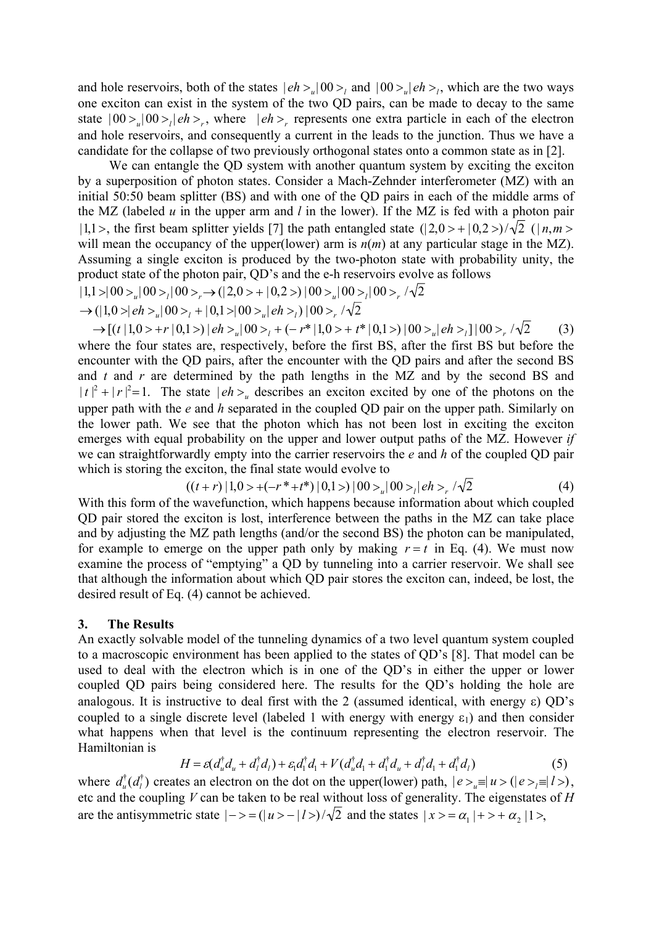and hole reservoirs, both of the states  $|eh\rangle_e|00\rangle_e$  and  $|00\rangle_e|eh\rangle_e$ , which are the two ways one exciton can exist in the system of the two QD pairs, can be made to decay to the same state  $|00\rangle$ <sub>*u*</sub> $|00\rangle$ <sub>*l*</sub> $|eh\rangle$ <sub>*r*</sub>, where  $|eh\rangle$ <sub>*r*</sub> represents one extra particle in each of the electron and hole reservoirs, and consequently a current in the leads to the junction. Thus we have a candidate for the collapse of two previously orthogonal states onto a common state as in [2].

We can entangle the QD system with another quantum system by exciting the exciton by a superposition of photon states. Consider a Mach-Zehnder interferometer (MZ) with an initial 50:50 beam splitter (BS) and with one of the QD pairs in each of the middle arms of the MZ (labeled *u* in the upper arm and *l* in the lower). If the MZ is fed with a photon pair  $|1,1\rangle$ , the first beam splitter yields [7] the path entangled state  $(|2,0\rangle + |0,2\rangle)/\sqrt{2}$  ( $|n,m\rangle$ ) will mean the occupancy of the upper(lower) arm is  $n(m)$  at any particular stage in the MZ). Assuming a single exciton is produced by the two-photon state with probability unity, the product state of the photon pair, QD's and the e-h reservoirs evolve as follows  $|1,1\rangle|00\rangle$ <sub>*u*</sub> $|00\rangle$ <sub>*i*</sub> $|00\rangle$ <sub>*r*</sub> $\rightarrow$   $(|2,0\rangle + |0,2\rangle) |00\rangle$ <sub>*i*u</sub> $|00\rangle$ <sub>*i*</sub> $|00\rangle$ <sub>*r*</sub> $\sqrt{2}$ 

$$
\rightarrow (|1,0\rangle|eh\rangle_{u}|00\rangle_{l}+|0,1\rangle|00\rangle_{u}|eh\rangle_{l})|00\rangle_{r}/\sqrt{2}
$$

 $\rightarrow$   $[(t|1,0>+r|0,1>)|eh>_{u}|00>_{t}+(-r^{*}|1,0>+t^{*}|0,1>)|00>_{u}|eh>_{t}]|00>_{r}/\sqrt{2}$  (3) where the four states are, respectively, before the first BS, after the first BS but before the encounter with the QD pairs, after the encounter with the QD pairs and after the second BS and *t* and *r* are determined by the path lengths in the MZ and by the second BS and  $|t|^2 + |r|^2 = 1$ . The state  $|eh\rangle_u$  describes an exciton excited by one of the photons on the upper path with the *e* and *h* separated in the coupled QD pair on the upper path. Similarly on the lower path. We see that the photon which has not been lost in exciting the exciton emerges with equal probability on the upper and lower output paths of the MZ. However *if*  we can straightforwardly empty into the carrier reservoirs the *e* and *h* of the coupled QD pair which is storing the exciton, the final state would evolve to

$$
((t+r) | 1,0> + (-r^*+t^*) | 0,1>) | 00>_{u} | 00>_{l} | eh>_{r'} \sqrt{2}
$$
 (4)

With this form of the wavefunction, which happens because information about which coupled QD pair stored the exciton is lost, interference between the paths in the MZ can take place and by adjusting the MZ path lengths (and/or the second BS) the photon can be manipulated, for example to emerge on the upper path only by making  $r = t$  in Eq. (4). We must now examine the process of "emptying" a QD by tunneling into a carrier reservoir. We shall see that although the information about which QD pair stores the exciton can, indeed, be lost, the desired result of Eq. (4) cannot be achieved.

## **3. The Results**

An exactly solvable model of the tunneling dynamics of a two level quantum system coupled to a macroscopic environment has been applied to the states of QD's [8]. That model can be used to deal with the electron which is in one of the QD's in either the upper or lower coupled QD pairs being considered here. The results for the QD's holding the hole are analogous. It is instructive to deal first with the 2 (assumed identical, with energy  $\varepsilon$ ) QD's coupled to a single discrete level (labeled 1 with energy with energy  $\varepsilon_1$ ) and then consider what happens when that level is the continuum representing the electron reservoir. The Hamiltonian is

$$
H = \varepsilon (d_u^{\dagger} d_u + d_l^{\dagger} d_l) + \varepsilon_1 d_l^{\dagger} d_l + V (d_u^{\dagger} d_l + d_l^{\dagger} d_u + d_l^{\dagger} d_l + d_l^{\dagger} d_l)
$$
(5)

where  $d_u^{\dagger}(d_l^{\dagger})$  creates an electron on the dot on the upper(lower) path,  $|e\rangle_u \equiv |u\rangle \cdot (|e\rangle_l \equiv |l\rangle)$ , etc and the coupling *V* can be taken to be real without loss of generality. The eigenstates of *H* are the antisymmetric state  $|->=(|u\rangle - |l\rangle)/\sqrt{2}$  and the states  $|x\rangle = \alpha_1|+ \rangle + \alpha_2|1\rangle$ ,